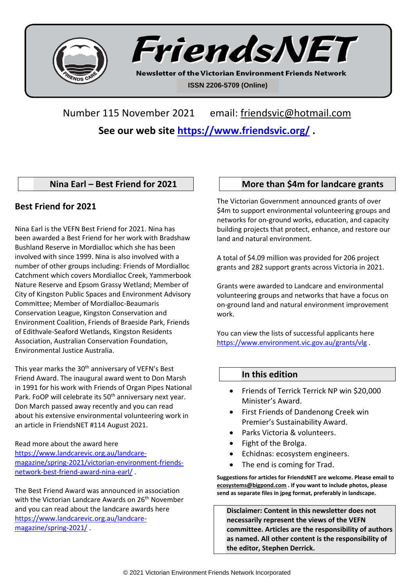



**Newsletter of the Victorian Environment Friends Network ISSN 2206-5709 (Online)**

Number 115 November 2021 email: [friendsvic@hotmail.com](mailto:friendsvic@hotmail.com)

**See our web site<https://www.friendsvic.org/> .**

# **Nina Earl – Best Friend for 2021**

# **Best Friend for 2021**

Nina Earl is the VEFN Best Friend for 2021. Nina has been awarded a Best Friend for her work with Bradshaw Bushland Reserve in Mordialloc which she has been involved with since 1999. Nina is also involved with a number of other groups including: Friends of Mordialloc Catchment which covers Mordialloc Creek, Yammerbook Nature Reserve and Epsom Grassy Wetland; Member of City of Kingston Public Spaces and Environment Advisory Committee; Member of Mordialloc-Beaumaris Conservation League, Kingston Conservation and Environment Coalition, Friends of Braeside Park, Friends of Edithvale-Seaford Wetlands, Kingston Residents Association, Australian Conservation Foundation, Environmental Justice Australia.

This year marks the 30<sup>th</sup> anniversary of VEFN's Best Friend Award. The inaugural award went to Don Marsh in 1991 for his work with Friends of Organ Pipes National Park. FoOP will celebrate its 50<sup>th</sup> anniversary next year. Don March passed away recently and you can read about his extensive environmental volunteering work in an article in FriendsNET #114 August 2021.

### Read more about the award here

[https://www.landcarevic.org.au/landcare](https://www.landcarevic.org.au/landcare-magazine/spring-2021/victorian-environment-friends-network-best-friend-award-nina-earl/)[magazine/spring-2021/victorian-environment-friends](https://www.landcarevic.org.au/landcare-magazine/spring-2021/victorian-environment-friends-network-best-friend-award-nina-earl/)[network-best-friend-award-nina-earl/](https://www.landcarevic.org.au/landcare-magazine/spring-2021/victorian-environment-friends-network-best-friend-award-nina-earl/) .

The Best Friend Award was announced in association with the Victorian Landcare Awards on 26<sup>th</sup> November and you can read about the landcare awards here [https://www.landcarevic.org.au/landcare](https://www.landcarevic.org.au/landcare-magazine/spring-2021/)[magazine/spring-2021/](https://www.landcarevic.org.au/landcare-magazine/spring-2021/) .

# **More than \$4m for landcare grants**

The Victorian Government announced grants of over \$4m to support environmental volunteering groups and networks for on-ground works, education, and capacity building projects that protect, enhance, and restore our land and natural environment.

A total of \$4.09 million was provided for 206 project grants and 282 support grants across Victoria in 2021.

Grants were awarded to Landcare and environmental volunteering groups and networks that have a focus on on-ground land and natural environment improvement work.

You can view the lists of successful applicants here <https://www.environment.vic.gov.au/grants/vlg> .

## **In this edition**

- Friends of Terrick Terrick NP win \$20,000 Minister's Award.
- First Friends of Dandenong Creek win Premier's Sustainability Award.
- Parks Victoria & volunteers.
- Fight of the Brolga.
- Echidnas: ecosystem engineers.
- The end is coming for Trad.

**Suggestions for articles for FriendsNET are welcome. Please email to [ecosystems@bigpond.com](mailto:ecosystems@bigpond.com) . If you want to include photos, please send as separate files in jpeg format, preferably in landscape.**

**Disclaimer: Content in this newsletter does not necessarily represent the views of the VEFN committee. Articles are the responsibility of authors as named. All other content is the responsibility of the editor, Stephen Derrick.**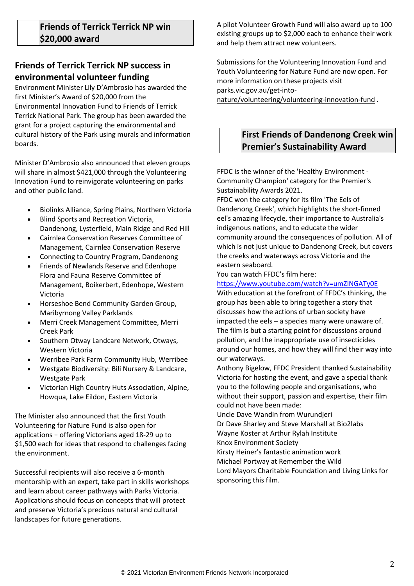# **Friends of Terrick Terrick NP success in environmental volunteer funding**

Environment Minister Lily D'Ambrosio has awarded the first Minister's Award of \$20,000 from the Environmental Innovation Fund to Friends of Terrick Terrick National Park. The group has been awarded the grant for a project capturing the environmental and cultural history of the Park using murals and information boards.

Minister D'Ambrosio also announced that eleven groups will share in almost \$421,000 through the Volunteering Innovation Fund to reinvigorate volunteering on parks and other public land.

- Biolinks Alliance, Spring Plains, Northern Victoria
- Blind Sports and Recreation Victoria, Dandenong, Lysterfield, Main Ridge and Red Hill
- Cairnlea Conservation Reserves Committee of Management, Cairnlea Conservation Reserve
- Connecting to Country Program, Dandenong
- Friends of Newlands Reserve and Edenhope Flora and Fauna Reserve Committee of Management, Boikerbert, Edenhope, Western Victoria
- Horseshoe Bend Community Garden Group, Maribyrnong Valley Parklands
- Merri Creek Management Committee, Merri Creek Park
- Southern Otway Landcare Network, Otways, Western Victoria
- Werribee Park Farm Community Hub, Werribee
- Westgate Biodiversity: Bili Nursery & Landcare, Westgate Park
- Victorian High Country Huts Association, Alpine, Howqua, Lake Eildon, Eastern Victoria

The Minister also announced that the first Youth Volunteering for Nature Fund is also open for applications − offering Victorians aged 18-29 up to \$1,500 each for ideas that respond to challenges facing the environment.

Successful recipients will also receive a 6-month mentorship with an expert, take part in skills workshops and learn about career pathways with Parks Victoria. Applications should focus on concepts that will protect and preserve Victoria's precious natural and cultural landscapes for future generations.

A pilot Volunteer Growth Fund will also award up to 100 existing groups up to \$2,000 each to enhance their work and help them attract new volunteers.

Submissions for the Volunteering Innovation Fund and Youth Volunteering for Nature Fund are now open. For more information on these projects visit [parks.vic.gov.au/get-into-](http://email.campaign-sdp.premier.vic.gov.au/c/eJxdjjuOxCAQRE9jZyDAH-yAYJK9R5tuPGhtQIBt7e2HcLRSJfX0VCo0OA0IsvdGCSWlVLOQYhIj16tbNqVwJhysHkU3CgtnAr8HVjDxlOn0lPntLd_jzeHq32Z1ShI4u86gyc4Ox2XBTWpyKK2esD_Mu9ZUuuHVqZ-W53l4gvxbvnYa3qkyH2pkAeqVqZE7HleoRNmH_V9tZog3VB8Dc1fAPhuysfyVSmdptze_pxiQ23j21ZyEHlimg6AQU-Oi9AdBC1cz)

[nature/volunteering/volunteering-innovation-fund](http://email.campaign-sdp.premier.vic.gov.au/c/eJxdjjuOxCAQRE9jZyDAH-yAYJK9R5tuPGhtQIBt7e2HcLRSJfX0VCo0OA0IsvdGCSWlVLOQYhIj16tbNqVwJhysHkU3CgtnAr8HVjDxlOn0lPntLd_jzeHq32Z1ShI4u86gyc4Ox2XBTWpyKK2esD_Mu9ZUuuHVqZ-W53l4gvxbvnYa3qkyH2pkAeqVqZE7HleoRNmH_V9tZog3VB8Dc1fAPhuysfyVSmdptze_pxiQ23j21ZyEHlimg6AQU-Oi9AdBC1cz) .

# **First Friends of Dandenong Creek win Premier's Sustainability Award**

FFDC is the winner of the 'Healthy Environment - Community Champion' category for the Premier's Sustainability Awards 2021.

FFDC won the category for its film 'The Eels of Dandenong Creek', which highlights the short-finned eel's amazing lifecycle, their importance to Australia's indigenous nations, and to educate the wider community around the consequences of pollution. All of which is not just unique to Dandenong Creek, but covers the creeks and waterways across Victoria and the eastern seaboard.

You can watch FFDC's film here:

### <https://www.youtube.com/watch?v=umZlNGATy0E>

With education at the forefront of FFDC's thinking, the group has been able to bring together a story that discusses how the actions of urban society have impacted the eels – a species many were unaware of. The film is but a starting point for discussions around pollution, and the inappropriate use of insecticides around our homes, and how they will find their way into our waterways.

Anthony Bigelow, FFDC President thanked Sustainability Victoria for hosting the event, and gave a special thank you to the following people and organisations, who without their support, passion and expertise, their film could not have been made:

Uncle Dave Wandin from Wurundjeri Dr Dave Sharley and Steve Marshall at Bio2labs Wayne Koster at Arthur Rylah Institute

Knox Environment Society

Kirsty Heiner's fantastic animation work

Michael Portway at Remember the Wild

Lord Mayors Charitable Foundation and Living Links for sponsoring this film.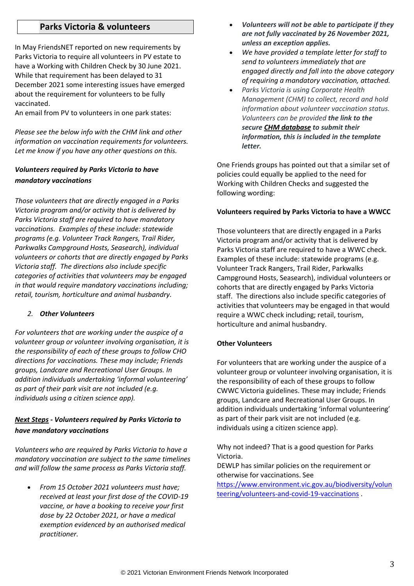### **Parks Victoria & volunteers**

In May FriendsNET reported on new requirements by Parks Victoria to require all volunteers in PV estate to have a Working with Children Check by 30 June 2021. While that requirement has been delayed to 31 December 2021 some interesting issues have emerged about the requirement for volunteers to be fully vaccinated.

An email from PV to volunteers in one park states:

*Please see the below info with the CHM link and other information on vaccination requirements for volunteers. Let me know if you have any other questions on this.* 

### *Volunteers required by Parks Victoria to have mandatory vaccinations*

*Those volunteers that are directly engaged in a Parks Victoria program and/or activity that is delivered by Parks Victoria staff are required to have mandatory vaccinations. Examples of these include: statewide programs (e.g. Volunteer Track Rangers, Trail Rider, Parkwalks Campground Hosts, Seasearch), individual volunteers or cohorts that are directly engaged by Parks Victoria staff. The directions also include specific categories of activities that volunteers may be engaged in that would require mandatory vaccinations including; retail, tourism, horticulture and animal husbandry.*

### *2. Other Volunteers*

*For volunteers that are working under the auspice of a volunteer group or volunteer involving organisation, it is the responsibility of each of these groups to follow CHO directions for vaccinations. These may include; Friends groups, Landcare and Recreational User Groups. In addition individuals undertaking 'informal volunteering' as part of their park visit are not included (e.g. individuals using a citizen science app).*

### *Next Steps - Volunteers required by Parks Victoria to have mandatory vaccinations*

*Volunteers who are required by Parks Victoria to have a mandatory vaccination are subject to the same timelines and will follow the same process as Parks Victoria staff.*

• *From 15 October 2021 volunteers must have; received at least your first dose of the COVID-19 vaccine, or have a booking to receive your first dose by 22 October 2021, or have a medical exemption evidenced by an authorised medical practitioner.*

- *Volunteers will not be able to participate if they are not fully vaccinated by 26 November 2021, unless an exception applies.*
- *We have provided a template letter for staff to send to volunteers immediately that are engaged directly and fall into the above category of requiring a mandatory vaccination, attached.*
- *Parks Victoria is using Corporate Health Management (CHM) to collect, record and hold information about volunteer vaccination status. Volunteers can be provided the link to the secure [CHM database](https://urldefense.proofpoint.com/v2/url?u=https-3A__chm.myworkplacehealth.net_ords_f-3Fp-3D885-3ALOGIN-5FDESKTOP-3A0-3ABRANCH-5FTO-5FPAGE-5FACCEPT-3A-3A-3AP101-5FBOOKING-5FCODE-3AMQW2JFWTAA&d=DwMFAg&c=JnBkUqWXzx2bz-3a05d47Q&r=3ZioqA0umXrqxUtIrlZWuFzmofEYxJyQF38mBbqCUpS9jprdTukgDh0c1TKaJEyc&m=n1uFg__1EcXd1jeifDXDIDZz51MIV49DSFyM2npljbk&s=bQ_OKTcFfMLW52Cxw9wn2pMxdqta1lJiYd2rpIffScs&e=) to submit their information, this is included in the template letter.*

One Friends groups has pointed out that a similar set of policies could equally be applied to the need for Working with Children Checks and suggested the following wording:

#### **Volunteers required by Parks Victoria to have a WWCC**

Those volunteers that are directly engaged in a Parks Victoria program and/or activity that is delivered by Parks Victoria staff are required to have a WWC check. Examples of these include: statewide programs (e.g. Volunteer Track Rangers, Trail Rider, Parkwalks Campground Hosts, Seasearch), individual volunteers or cohorts that are directly engaged by Parks Victoria staff. The directions also include specific categories of activities that volunteers may be engaged in that would require a WWC check including; retail, tourism, horticulture and animal husbandry.

#### **Other Volunteers**

For volunteers that are working under the auspice of a volunteer group or volunteer involving organisation, it is the responsibility of each of these groups to follow CWWC Victoria guidelines. These may include; Friends groups, Landcare and Recreational User Groups. In addition individuals undertaking 'informal volunteering' as part of their park visit are not included (e.g. individuals using a citizen science app).

Why not indeed? That is a good question for Parks Victoria.

DEWLP has similar policies on the requirement or otherwise for vaccinations. See

[https://www.environment.vic.gov.au/biodiversity/volun](https://www.environment.vic.gov.au/biodiversity/volunteering/volunteers-and-covid-19-vaccinations) [teering/volunteers-and-covid-19-vaccinations](https://www.environment.vic.gov.au/biodiversity/volunteering/volunteers-and-covid-19-vaccinations) .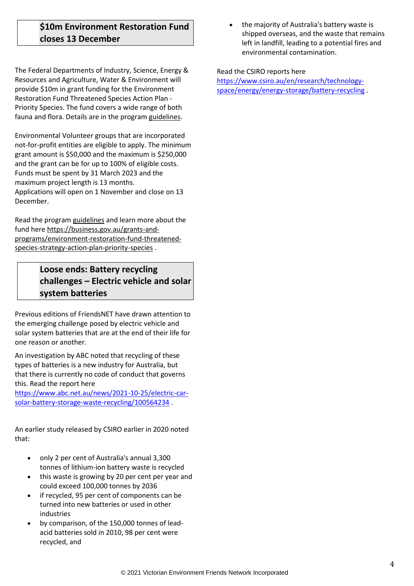# **\$10m Environment Restoration Fund closes 13 December**

The Federal Departments of Industry, Science, Energy & Resources and Agriculture, Water & Environment will provide \$10m in grant funding for the Environment Restoration Fund Threatened Species Action Plan - Priority Species. The fund covers a wide range of both fauna and flora. Details are in the program [guidelines.](https://vnpa.us13.list-manage.com/track/click?u=973d79e3b56c292d7eeb33089&id=1c9fa27452&e=a1698debf5)

Environmental Volunteer groups that are incorporated not-for-profit entities are eligible to apply. The minimum grant amount is \$50,000 and the maximum is \$250,000 and the grant can be for up to 100% of eligible costs. Funds must be spent by 31 March 2023 and the maximum project length is 13 months. Applications will open on 1 November and close on 13 December.

Read the program [guidelines](https://vnpa.us13.list-manage.com/track/click?u=973d79e3b56c292d7eeb33089&id=c2a6075446&e=a1698debf5) and learn more about the fund her[e https://business.gov.au/grants-and](https://business.gov.au/grants-and-programs/environment-restoration-fund-threatened-species-strategy-action-plan-priority-species)[programs/environment-restoration-fund-threatened](https://business.gov.au/grants-and-programs/environment-restoration-fund-threatened-species-strategy-action-plan-priority-species)[species-strategy-action-plan-priority-species](https://business.gov.au/grants-and-programs/environment-restoration-fund-threatened-species-strategy-action-plan-priority-species) .

# **Loose ends: Battery recycling challenges – Electric vehicle and solar system batteries**

Previous editions of FriendsNET have drawn attention to the emerging challenge posed by electric vehicle and solar system batteries that are at the end of their life for one reason or another.

An investigation by ABC noted that recycling of these types of batteries is a new industry for Australia, but that there is currently no code of conduct that governs this. Read the report here

[https://www.abc.net.au/news/2021-10-25/electric-car](https://www.abc.net.au/news/2021-10-25/electric-car-solar-battery-storage-waste-recycling/100564234)[solar-battery-storage-waste-recycling/100564234](https://www.abc.net.au/news/2021-10-25/electric-car-solar-battery-storage-waste-recycling/100564234) .

An earlier study released by CSIRO earlier in 2020 noted that:

- only 2 per cent of Australia's annual 3,300 tonnes of lithium-ion battery waste is recycled
- this waste is growing by 20 per cent per year and could exceed 100,000 tonnes by 2036
- if recycled, 95 per cent of components can be turned into new batteries or used in other industries
- by comparison, of the 150,000 tonnes of leadacid batteries sold in 2010, 98 per cent were recycled, and

• the majority of Australia's battery waste is shipped overseas, and the waste that remains left in landfill, leading to a potential fires and environmental contamination.

### Read the CSIRO reports here

[https://www.csiro.au/en/research/technology](https://www.csiro.au/en/research/technology-space/energy/energy-storage/battery-recycling)[space/energy/energy-storage/battery-recycling](https://www.csiro.au/en/research/technology-space/energy/energy-storage/battery-recycling) .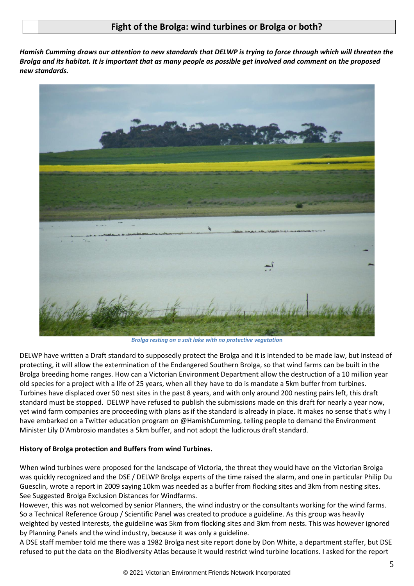## **Fight of the Brolga: wind turbines or Brolga or both?**

*Hamish Cumming draws our attention to new standards that DELWP is trying to force through which will threaten the Brolga and its habitat. It is important that as many people as possible get involved and comment on the proposed new standards.*



*Brolga resting on a salt lake with no protective vegetatio***n**

DELWP have written a Draft standard to supposedly protect the Brolga and it is intended to be made law, but instead of protecting, it will allow the extermination of the Endangered Southern Brolga, so that wind farms can be built in the Brolga breeding home ranges. How can a Victorian Environment Department allow the destruction of a 10 million year old species for a project with a life of 25 years, when all they have to do is mandate a 5km buffer from turbines. Turbines have displaced over 50 nest sites in the past 8 years, and with only around 200 nesting pairs left, this draft standard must be stopped. DELWP have refused to publish the submissions made on this draft for nearly a year now, yet wind farm companies are proceeding with plans as if the standard is already in place. It makes no sense that's why I have embarked on a Twitter education program on @HamishCumming, telling people to demand the Environment Minister Lily D'Ambrosio mandates a 5km buffer, and not adopt the ludicrous draft standard.

### **History of Brolga protection and Buffers from wind Turbines.**

When wind turbines were proposed for the landscape of Victoria, the threat they would have on the Victorian Brolga was quickly recognized and the DSE / DELWP Brolga experts of the time raised the alarm, and one in particular Philip Du Guesclin, wrote a report in 2009 saying 10km was needed as a buffer from flocking sites and 3km from nesting sites. See Suggested Brolga Exclusion Distances for Windfarms.

However, this was not welcomed by senior Planners, the wind industry or the consultants working for the wind farms. So a Technical Reference Group / Scientific Panel was created to produce a guideline. As this group was heavily weighted by vested interests, the guideline was 5km from flocking sites and 3km from nests. This was however ignored by Planning Panels and the wind industry, because it was only a guideline.

A DSE staff member told me there was a 1982 Brolga nest site report done by Don White, a department staffer, but DSE refused to put the data on the Biodiversity Atlas because it would restrict wind turbine locations. I asked for the report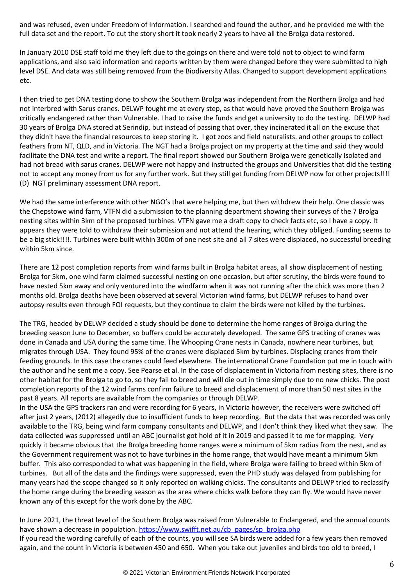and was refused, even under Freedom of Information. I searched and found the author, and he provided me with the full data set and the report. To cut the story short it took nearly 2 years to have all the Brolga data restored.

In January 2010 DSE staff told me they left due to the goings on there and were told not to object to wind farm applications, and also said information and reports written by them were changed before they were submitted to high level DSE. And data was still being removed from the Biodiversity Atlas. Changed to support development applications etc.

I then tried to get DNA testing done to show the Southern Brolga was independent from the Northern Brolga and had not interbred with Sarus cranes. DELWP fought me at every step, as that would have proved the Southern Brolga was critically endangered rather than Vulnerable. I had to raise the funds and get a university to do the testing. DELWP had 30 years of Brolga DNA stored at Serindip, but instead of passing that over, they incinerated it all on the excuse that they didn't have the financial resources to keep storing it. I got zoos and field naturalists. and other groups to collect feathers from NT, QLD, and in Victoria. The NGT had a Brolga project on my property at the time and said they would facilitate the DNA test and write a report. The final report showed our Southern Brolga were genetically Isolated and had not bread with sarus cranes. DELWP were not happy and instructed the groups and Universities that did the testing not to accept any money from us for any further work. But they still get funding from DELWP now for other projects!!!! (D) NGT preliminary assessment DNA report.

We had the same interference with other NGO's that were helping me, but then withdrew their help. One classic was the Chepstowe wind farm, VTFN did a submission to the planning department showing their surveys of the 7 Brolga nesting sites within 3km of the proposed turbines. VTFN gave me a draft copy to check facts etc, so I have a copy. It appears they were told to withdraw their submission and not attend the hearing, which they obliged. Funding seems to be a big stick!!!!. Turbines were built within 300m of one nest site and all 7 sites were displaced, no successful breeding within 5km since.

There are 12 post completion reports from wind farms built in Brolga habitat areas, all show displacement of nesting Brolga for 5km, one wind farm claimed successful nesting on one occasion, but after scrutiny, the birds were found to have nested 5km away and only ventured into the windfarm when it was not running after the chick was more than 2 months old. Brolga deaths have been observed at several Victorian wind farms, but DELWP refuses to hand over autopsy results even through FOI requests, but they continue to claim the birds were not killed by the turbines.

The TRG, headed by DELWP decided a study should be done to determine the home ranges of Brolga during the breeding season June to December, so buffers could be accurately developed. The same GPS tracking of cranes was done in Canada and USA during the same time. The Whooping Crane nests in Canada, nowhere near turbines, but migrates through USA. They found 95% of the cranes were displaced 5km by turbines. Displacing cranes from their feeding grounds. In this case the cranes could feed elsewhere. The international Crane Foundation put me in touch with the author and he sent me a copy. See Pearse et al. In the case of displacement in Victoria from nesting sites, there is no other habitat for the Brolga to go to, so they fail to breed and will die out in time simply due to no new chicks. The post completion reports of the 12 wind farms confirm failure to breed and displacement of more than 50 nest sites in the past 8 years. All reports are available from the companies or through DELWP.

In the USA the GPS trackers ran and were recording for 6 years, in Victoria however, the receivers were switched off after just 2 years, (2012) allegedly due to insufficient funds to keep recording. But the data that was recorded was only available to the TRG, being wind farm company consultants and DELWP, and I don't think they liked what they saw. The data collected was suppressed until an ABC journalist got hold of it in 2019 and passed it to me for mapping. Very quickly it became obvious that the Brolga breeding home ranges were a minimum of 5km radius from the nest, and as the Government requirement was not to have turbines in the home range, that would have meant a minimum 5km buffer. This also corresponded to what was happening in the field, where Brolga were failing to breed within 5km of turbines. But all of the data and the findings were suppressed, even the PHD study was delayed from publishing for many years had the scope changed so it only reported on walking chicks. The consultants and DELWP tried to reclassify the home range during the breeding season as the area where chicks walk before they can fly. We would have never known any of this except for the work done by the ABC.

In June 2021, the threat level of the Southern Brolga was raised from Vulnerable to Endangered, and the annual counts have shown a decrease in population. https://www.swifft.net.au/cb\_pages/sp\_brolga.php If you read the wording carefully of each of the counts, you will see SA birds were added for a few years then removed again, and the count in Victoria is between 450 and 650. When you take out juveniles and birds too old to breed, I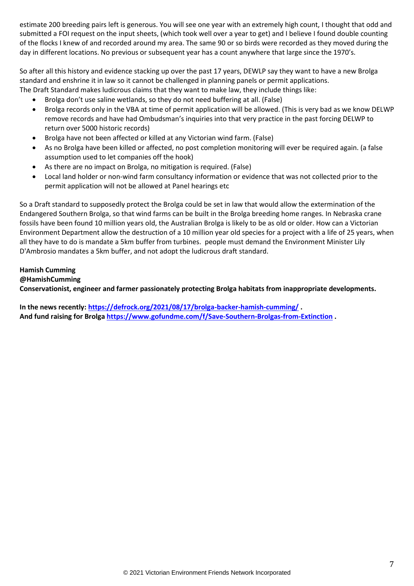estimate 200 breeding pairs left is generous. You will see one year with an extremely high count, I thought that odd and submitted a FOI request on the input sheets, (which took well over a year to get) and I believe I found double counting of the flocks I knew of and recorded around my area. The same 90 or so birds were recorded as they moved during the day in different locations. No previous or subsequent year has a count anywhere that large since the 1970's.

So after all this history and evidence stacking up over the past 17 years, DEWLP say they want to have a new Brolga standard and enshrine it in law so it cannot be challenged in planning panels or permit applications. The Draft Standard makes ludicrous claims that they want to make law, they include things like:

- Brolga don't use saline wetlands, so they do not need buffering at all. (False)
- Brolga records only in the VBA at time of permit application will be allowed. (This is very bad as we know DELWP remove records and have had Ombudsman's inquiries into that very practice in the past forcing DELWP to return over 5000 historic records)
- Brolga have not been affected or killed at any Victorian wind farm. (False)
- As no Brolga have been killed or affected, no post completion monitoring will ever be required again. (a false assumption used to let companies off the hook)
- As there are no impact on Brolga, no mitigation is required. (False)
- Local land holder or non-wind farm consultancy information or evidence that was not collected prior to the permit application will not be allowed at Panel hearings etc

So a Draft standard to supposedly protect the Brolga could be set in law that would allow the extermination of the Endangered Southern Brolga, so that wind farms can be built in the Brolga breeding home ranges. In Nebraska crane fossils have been found 10 million years old, the Australian Brolga is likely to be as old or older. How can a Victorian Environment Department allow the destruction of a 10 million year old species for a project with a life of 25 years, when all they have to do is mandate a 5km buffer from turbines. people must demand the Environment Minister Lily D'Ambrosio mandates a 5km buffer, and not adopt the ludicrous draft standard.

## **Hamish Cumming**

#### **@HamishCumming**

**Conservationist, engineer and farmer passionately protecting Brolga habitats from inappropriate developments.**

**In the news recently[: https://defrock.org/2021/08/17/brolga-backer-hamish-cumming/](https://defrock.org/2021/08/17/brolga-backer-hamish-cumming/) . And fund raising for Brolg[a https://www.gofundme.com/f/Save-Southern-Brolgas-from-Extinction](https://www.gofundme.com/f/Save-Southern-Brolgas-from-Extinction) .**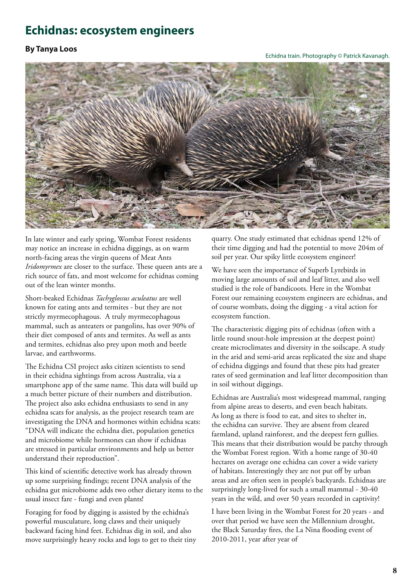# **Echidnas: ecosystem engineers**

### **By Tanya Loos**

#### Echidna train. Photography © Patrick Kavanagh.



In late winter and early spring, Wombat Forest residents may notice an increase in echidna diggings, as on warm north-facing areas the virgin queens of Meat Ants *Iridomyrmex* are closer to the surface. These queen ants are a rich source of fats, and most welcome for echidnas coming out of the lean winter months.

Short-beaked Echidnas *Tachyglossus aculeatus* are well known for eating ants and termites - but they are not strictly myrmecophagous. A truly myrmecophagous mammal, such as anteaters or pangolins, has over 90% of their diet composed of ants and termites. As well as ants and termites, echidnas also prey upon moth and beetle larvae, and earthworms.

The Echidna CSI project asks citizen scientists to send in their echidna sightings from across Australia, via a smartphone app of the same name. This data will build up a much better picture of their numbers and distribution. The project also asks echidna enthusiasts to send in any echidna scats for analysis, as the project research team are investigating the DNA and hormones within echidna scats: "DNA will indicate the echidna diet, population genetics and microbiome while hormones can show if echidnas are stressed in particular environments and help us better understand their reproduction".

This kind of scientific detective work has already thrown up some surprising findings; recent DNA analysis of the echidna gut microbiome adds two other dietary items to the usual insect fare - fungi and even plants!

Foraging for food by digging is assisted by the echidna's powerful musculature, long claws and their uniquely backward facing hind feet. Echidnas dig in soil, and also move surprisingly heavy rocks and logs to get to their tiny quarry. One study estimated that echidnas spend 12% of their time digging and had the potential to move 204m of soil per year. Our spiky little ecosystem engineer!

We have seen the importance of Superb Lyrebirds in moving large amounts of soil and leaf litter, and also well studied is the role of bandicoots. Here in the Wombat Forest our remaining ecosystem engineers are echidnas, and of course wombats, doing the digging - a vital action for ecosystem function.

The characteristic digging pits of echidnas (often with a little round snout-hole impression at the deepest point) create microclimates and diversity in the soilscape. A study in the arid and semi-arid areas replicated the size and shape of echidna diggings and found that these pits had greater rates of seed germination and leaf litter decomposition than in soil without diggings.

Echidnas are Australia's most widespread mammal, ranging from alpine areas to deserts, and even beach habitats. As long as there is food to eat, and sites to shelter in, the echidna can survive. They are absent from cleared farmland, upland rainforest, and the deepest fern gullies. This means that their distribution would be patchy through the Wombat Forest region. With a home range of 30-40 hectares on average one echidna can cover a wide variety of habitats. Interestingly they are not put off by urban areas and are often seen in people's backyards. Echidnas are surprisingly long-lived for such a small mammal - 30-40 years in the wild, and over 50 years recorded in captivity!

I have been living in the Wombat Forest for 20 years - and over that period we have seen the Millennium drought, the Black Saturday fires, the La Nina flooding event of 2010-2011, year after year of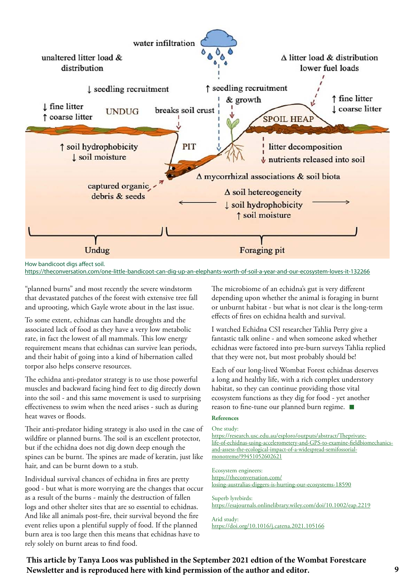

How bandicoot digs affect soil.

https://theconversation.com/one-little-bandicoot-can-dig-up-an-elephants-worth-of-soil-a-year-and-our-ecosystem-loves-it-132266

"planned burns" and most recently the severe windstorm that devastated patches of the forest with extensive tree fall and uprooting, which Gayle wrote about in the last issue.

To some extent, echidnas can handle droughts and the associated lack of food as they have a very low metabolic rate, in fact the lowest of all mammals. This low energy requirement means that echidnas can survive lean periods, and their habit of going into a kind of hibernation called torpor also helps conserve resources.

The echidna anti-predator strategy is to use those powerful muscles and backward facing hind feet to dig directly down into the soil - and this same movement is used to surprising effectiveness to swim when the need arises - such as during heat waves or floods.

Their anti-predator hiding strategy is also used in the case of wildfire or planned burns. The soil is an excellent protector, but if the echidna does not dig down deep enough the spines can be burnt. The spines are made of keratin, just like hair, and can be burnt down to a stub.

Individual survival chances of echidna in fires are pretty good - but what is more worrying are the changes that occur as a result of the burns - mainly the destruction of fallen logs and other shelter sites that are so essential to echidnas. And like all animals post-fire, their survival beyond the fire event relies upon a plentiful supply of food. If the planned burn area is too large then this means that echidnas have to rely solely on burnt areas to find food.

The microbiome of an echidna's gut is very different depending upon whether the animal is foraging in burnt or unburnt habitat - but what is not clear is the long-term effects of fires on echidna health and survival.

I watched Echidna CSI researcher Tahlia Perry give a fantastic talk online - and when someone asked whether echidnas were factored into pre-burn surveys Tahlia replied that they were not, but most probably should be!

Each of our long-lived Wombat Forest echidnas deserves a long and healthy life, with a rich complex understory habitat, so they can continue providing those vital ecosystem functions as they dig for food - yet another reason to fine-tune our planned burn regime.  $\blacksquare$ 

### **References**

#### One study:

https://research.usc.edu.au/esploro/outputs/abstract/Theprivatelife-of-echidnas-using-accelerometery-and-GPS-to-examine-fieldbiomechanicsand-assess-the-ecological-impact-of-a-widespread-semifossorialmonotreme/99451052602621

Ecosystem engineers: https://theconversation.com/ losing-australias-diggers-is-hurting-our-ecosystems-18590

Superb lyrebirds: https://esajournals.onlinelibrary.wiley.com/doi/10.1002/eap.2219

Arid study: https://doi.org/10.1016/j.catena.2021.105166

**This article by Tanya Loos was published in the September 2021 edtion of the Wombat Forestcare Newsletter and is reproduced here with kind permission of the author and editor. 9**